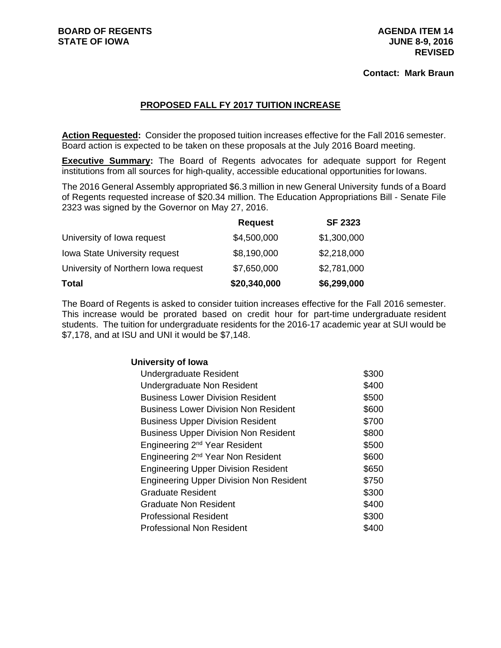### **Contact: Mark Braun**

# **PROPOSED FALL FY 2017 TUITION INCREASE**

**Action Requested:** Consider the proposed tuition increases effective for the Fall 2016 semester. Board action is expected to be taken on these proposals at the July 2016 Board meeting.

**Executive Summary:** The Board of Regents advocates for adequate support for Regent institutions from all sources for high-quality, accessible educational opportunities for Iowans.

The 2016 General Assembly appropriated \$6.3 million in new General University funds of a Board of Regents requested increase of \$20.34 million. The Education Appropriations Bill - Senate File 2323 was signed by the Governor on May 27, 2016.

|                                      | <b>Request</b> | <b>SF 2323</b> |
|--------------------------------------|----------------|----------------|
| University of Iowa request           | \$4,500,000    | \$1,300,000    |
| <b>Iowa State University request</b> | \$8,190,000    | \$2,218,000    |
| University of Northern Iowa request  | \$7,650,000    | \$2,781,000    |
| <b>Total</b>                         | \$20,340,000   | \$6,299,000    |

The Board of Regents is asked to consider tuition increases effective for the Fall 2016 semester. This increase would be prorated based on credit hour for part-time undergraduate resident students. The tuition for undergraduate residents for the 2016-17 academic year at SUI would be \$7,178, and at ISU and UNI it would be \$7,148.

#### **University of Iowa**

| Undergraduate Resident                         | \$300 |
|------------------------------------------------|-------|
| Undergraduate Non Resident                     | \$400 |
| <b>Business Lower Division Resident</b>        | \$500 |
| <b>Business Lower Division Non Resident</b>    | \$600 |
| <b>Business Upper Division Resident</b>        | \$700 |
| <b>Business Upper Division Non Resident</b>    | \$800 |
| Engineering 2 <sup>nd</sup> Year Resident      | \$500 |
| Engineering 2 <sup>nd</sup> Year Non Resident  | \$600 |
| <b>Engineering Upper Division Resident</b>     | \$650 |
| <b>Engineering Upper Division Non Resident</b> | \$750 |
| <b>Graduate Resident</b>                       | \$300 |
| <b>Graduate Non Resident</b>                   | \$400 |
| <b>Professional Resident</b>                   | \$300 |
| <b>Professional Non Resident</b>               | \$400 |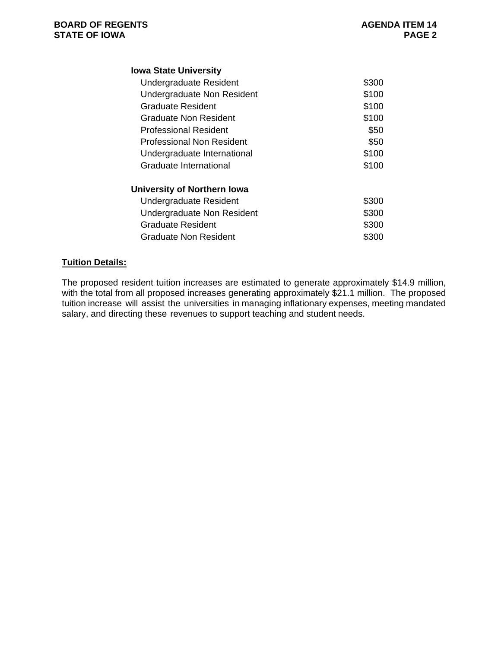| <b>Iowa State University</b> |       |
|------------------------------|-------|
| Undergraduate Resident       | \$300 |
| Undergraduate Non Resident   | \$100 |
| Graduate Resident            | \$100 |
| Graduate Non Resident        | \$100 |
| <b>Professional Resident</b> | \$50  |
| Professional Non Resident    | \$50  |
| Undergraduate International  | \$100 |
| Graduate International       | \$100 |
| University of Northern Iowa  |       |
| Undergraduate Resident       | \$300 |
| Undergraduate Non Resident   | \$300 |
| Graduate Resident            | \$300 |
| Graduate Non Resident        |       |

### **Tuition Details:**

The proposed resident tuition increases are estimated to generate approximately \$14.9 million, with the total from all proposed increases generating approximately \$21.1 million. The proposed tuition increase will assist the universities in managing inflationary expenses, meeting mandated salary, and directing these revenues to support teaching and student needs.